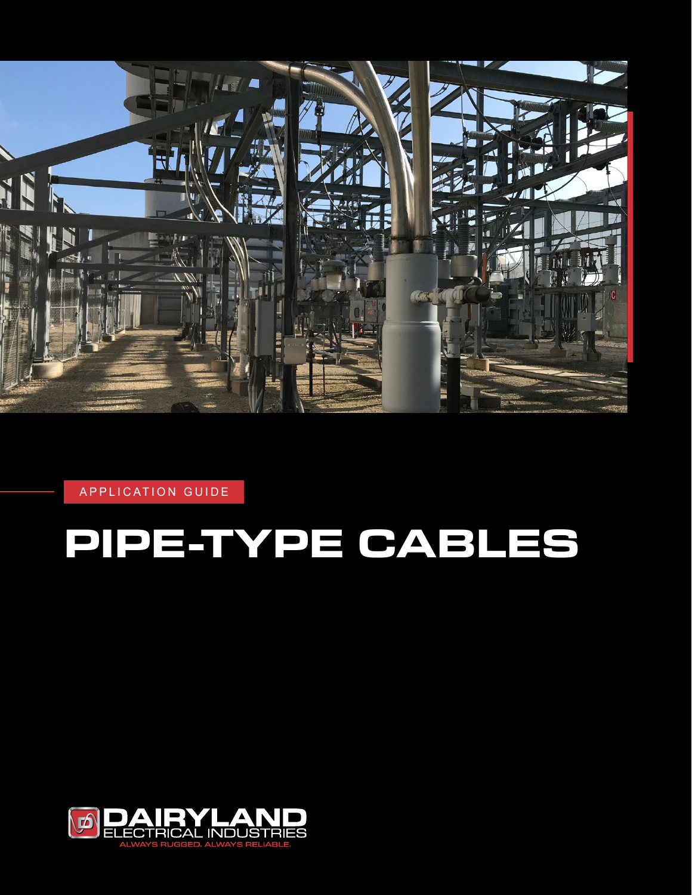

APPLICATION GUIDE

# **PIPE-TYPE CABLES**

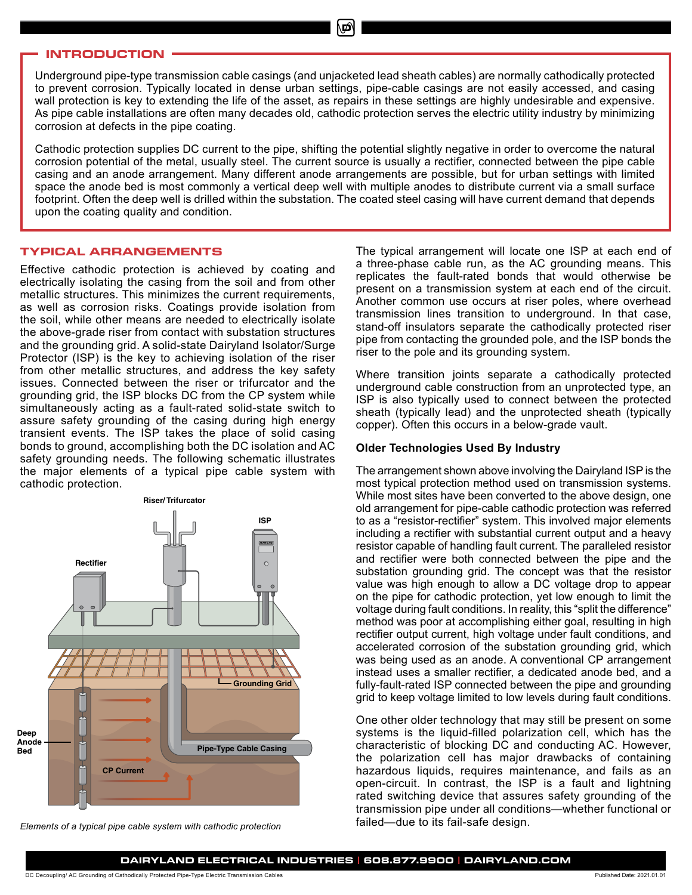# **INTRODUCTION**

Underground pipe-type transmission cable casings (and unjacketed lead sheath cables) are normally cathodically protected to prevent corrosion. Typically located in dense urban settings, pipe-cable casings are not easily accessed, and casing wall protection is key to extending the life of the asset, as repairs in these settings are highly undesirable and expensive. As pipe cable installations are often many decades old, cathodic protection serves the electric utility industry by minimizing corrosion at defects in the pipe coating.

Cathodic protection supplies DC current to the pipe, shifting the potential slightly negative in order to overcome the natural corrosion potential of the metal, usually steel. The current source is usually a rectifier, connected between the pipe cable casing and an anode arrangement. Many different anode arrangements are possible, but for urban settings with limited space the anode bed is most commonly a vertical deep well with multiple anodes to distribute current via a small surface footprint. Often the deep well is drilled within the substation. The coated steel casing will have current demand that depends upon the coating quality and condition.

#### **TYPICAL ARRANGEMENTS**

Effective cathodic protection is achieved by coating and electrically isolating the casing from the soil and from other metallic structures. This minimizes the current requirements, as well as corrosion risks. Coatings provide isolation from the soil, while other means are needed to electrically isolate the above-grade riser from contact with substation structures and the grounding grid. A solid-state Dairyland Isolator/Surge Protector (ISP) is the key to achieving isolation of the riser from other metallic structures, and address the key safety issues. Connected between the riser or trifurcator and the grounding grid, the ISP blocks DC from the CP system while simultaneously acting as a fault-rated solid-state switch to assure safety grounding of the casing during high energy transient events. The ISP takes the place of solid casing bonds to ground, accomplishing both the DC isolation and AC safety grounding needs. The following schematic illustrates the major elements of a typical pipe cable system with cathodic protection.



*Elements of a typical pipe cable system with cathodic protection*

The typical arrangement will locate one ISP at each end of a three-phase cable run, as the AC grounding means. This replicates the fault-rated bonds that would otherwise be present on a transmission system at each end of the circuit. Another common use occurs at riser poles, where overhead transmission lines transition to underground. In that case, stand-off insulators separate the cathodically protected riser pipe from contacting the grounded pole, and the ISP bonds the riser to the pole and its grounding system.

Where transition joints separate a cathodically protected underground cable construction from an unprotected type, an ISP is also typically used to connect between the protected sheath (typically lead) and the unprotected sheath (typically copper). Often this occurs in a below-grade vault.

#### **Older Technologies Used By Industry**

The arrangement shown above involving the Dairyland ISP is the most typical protection method used on transmission systems. While most sites have been converted to the above design, one old arrangement for pipe-cable cathodic protection was referred to as a "resistor-rectifier" system. This involved major elements including a rectifier with substantial current output and a heavy resistor capable of handling fault current. The paralleled resistor and rectifier were both connected between the pipe and the substation grounding grid. The concept was that the resistor value was high enough to allow a DC voltage drop to appear on the pipe for cathodic protection, yet low enough to limit the voltage during fault conditions. In reality, this "split the difference" method was poor at accomplishing either goal, resulting in high rectifier output current, high voltage under fault conditions, and accelerated corrosion of the substation grounding grid, which was being used as an anode. A conventional CP arrangement instead uses a smaller rectifier, a dedicated anode bed, and a fully-fault-rated ISP connected between the pipe and grounding grid to keep voltage limited to low levels during fault conditions.

One other older technology that may still be present on some systems is the liquid-filled polarization cell, which has the characteristic of blocking DC and conducting AC. However, the polarization cell has major drawbacks of containing hazardous liquids, requires maintenance, and fails as an open-circuit. In contrast, the ISP is a fault and lightning rated switching device that assures safety grounding of the transmission pipe under all conditions—whether functional or failed—due to its fail-safe design.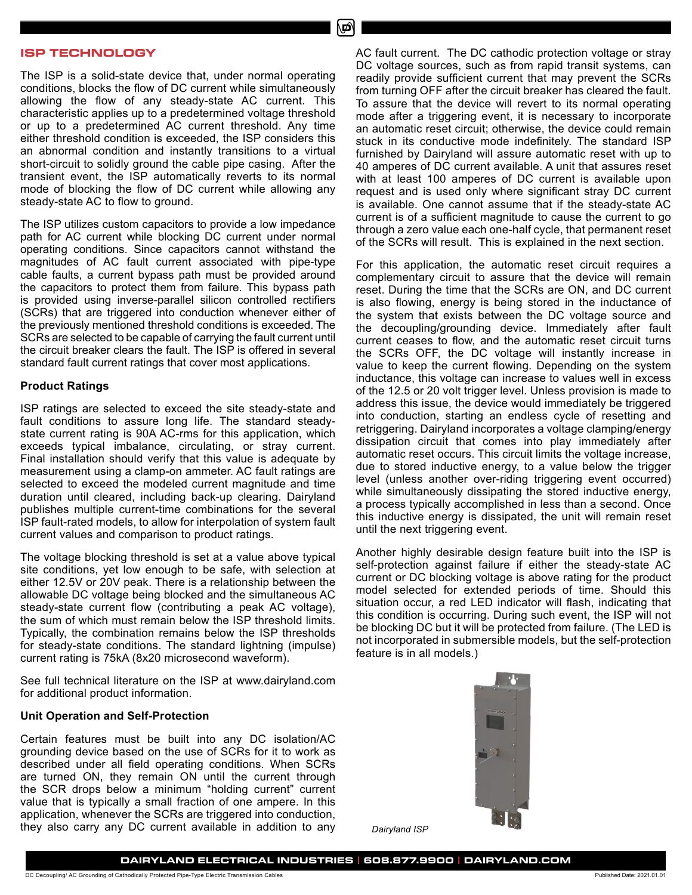#### **ISP TECHNOLOGY**

The ISP is a solid-state device that, under normal operating conditions, blocks the flow of DC current while simultaneously allowing the flow of any steady-state AC current. This characteristic applies up to a predetermined voltage threshold or up to a predetermined AC current threshold. Any time either threshold condition is exceeded, the ISP considers this an abnormal condition and instantly transitions to a virtual short-circuit to solidly ground the cable pipe casing. After the transient event, the ISP automatically reverts to its normal mode of blocking the flow of DC current while allowing any steady-state AC to flow to ground.

The ISP utilizes custom capacitors to provide a low impedance path for AC current while blocking DC current under normal operating conditions. Since capacitors cannot withstand the magnitudes of AC fault current associated with pipe-type cable faults, a current bypass path must be provided around the capacitors to protect them from failure. This bypass path is provided using inverse-parallel silicon controlled rectifiers (SCRs) that are triggered into conduction whenever either of the previously mentioned threshold conditions is exceeded. The SCRs are selected to be capable of carrying the fault current until the circuit breaker clears the fault. The ISP is offered in several standard fault current ratings that cover most applications.

#### **Product Ratings**

ISP ratings are selected to exceed the site steady-state and fault conditions to assure long life. The standard steadystate current rating is 90A AC-rms for this application, which exceeds typical imbalance, circulating, or stray current. Final installation should verify that this value is adequate by measurement using a clamp-on ammeter. AC fault ratings are selected to exceed the modeled current magnitude and time duration until cleared, including back-up clearing. Dairyland publishes multiple current-time combinations for the several ISP fault-rated models, to allow for interpolation of system fault current values and comparison to product ratings.

The voltage blocking threshold is set at a value above typical site conditions, yet low enough to be safe, with selection at either 12.5V or 20V peak. There is a relationship between the allowable DC voltage being blocked and the simultaneous AC steady-state current flow (contributing a peak AC voltage), the sum of which must remain below the ISP threshold limits. Typically, the combination remains below the ISP thresholds for steady-state conditions. The standard lightning (impulse) current rating is 75kA (8x20 microsecond waveform).

See full technical literature on the ISP at www.dairyland.com for additional product information.

#### **Unit Operation and Self-Protection**

Certain features must be built into any DC isolation/AC grounding device based on the use of SCRs for it to work as described under all field operating conditions. When SCRs are turned ON, they remain ON until the current through the SCR drops below a minimum "holding current" current value that is typically a small fraction of one ampere. In this application, whenever the SCRs are triggered into conduction, they also carry any DC current available in addition to any

AC fault current. The DC cathodic protection voltage or stray DC voltage sources, such as from rapid transit systems, can readily provide sufficient current that may prevent the SCRs from turning OFF after the circuit breaker has cleared the fault. To assure that the device will revert to its normal operating mode after a triggering event, it is necessary to incorporate an automatic reset circuit; otherwise, the device could remain stuck in its conductive mode indefinitely. The standard ISP furnished by Dairyland will assure automatic reset with up to 40 amperes of DC current available. A unit that assures reset with at least 100 amperes of DC current is available upon request and is used only where significant stray DC current is available. One cannot assume that if the steady-state AC current is of a sufficient magnitude to cause the current to go through a zero value each one-half cycle, that permanent reset of the SCRs will result. This is explained in the next section.

For this application, the automatic reset circuit requires a complementary circuit to assure that the device will remain reset. During the time that the SCRs are ON, and DC current is also flowing, energy is being stored in the inductance of the system that exists between the DC voltage source and the decoupling/grounding device. Immediately after fault current ceases to flow, and the automatic reset circuit turns the SCRs OFF, the DC voltage will instantly increase in value to keep the current flowing. Depending on the system inductance, this voltage can increase to values well in excess of the 12.5 or 20 volt trigger level. Unless provision is made to address this issue, the device would immediately be triggered into conduction, starting an endless cycle of resetting and retriggering. Dairyland incorporates a voltage clamping/energy dissipation circuit that comes into play immediately after automatic reset occurs. This circuit limits the voltage increase, due to stored inductive energy, to a value below the trigger level (unless another over-riding triggering event occurred) while simultaneously dissipating the stored inductive energy, a process typically accomplished in less than a second. Once this inductive energy is dissipated, the unit will remain reset until the next triggering event.

Another highly desirable design feature built into the ISP is self-protection against failure if either the steady-state AC current or DC blocking voltage is above rating for the product model selected for extended periods of time. Should this situation occur, a red LED indicator will flash, indicating that this condition is occurring. During such event, the ISP will not be blocking DC but it will be protected from failure. (The LED is not incorporated in submersible models, but the self-protection feature is in all models.)



*Dairyland ISP*